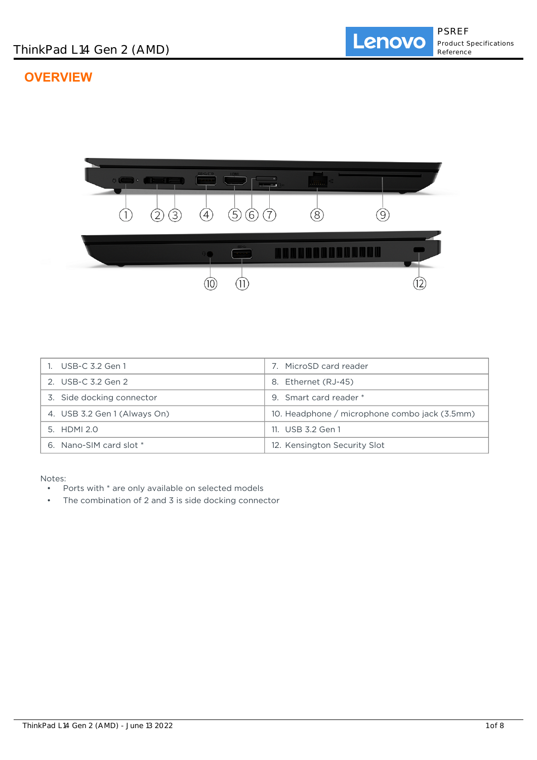# **OVERVIEW**



| 1. USB-C 3.2 Gen 1           | MicroSD card reader                           |
|------------------------------|-----------------------------------------------|
| 2. USB-C 3.2 Gen 2           | Ethernet (RJ-45)<br>8.                        |
| 3. Side docking connector    | 9. Smart card reader *                        |
| 4. USB 3.2 Gen 1 (Always On) | 10. Headphone / microphone combo jack (3.5mm) |
| 5. HDMI 2.0                  | 11. USB 3.2 Gen 1                             |
| 6. Nano-SIM card slot *      | 12. Kensington Security Slot                  |

Notes:<br>• <del>D</del>

- Ports with  $*$  are only available on selected models
- The combination of 2 and 3 is side docking connector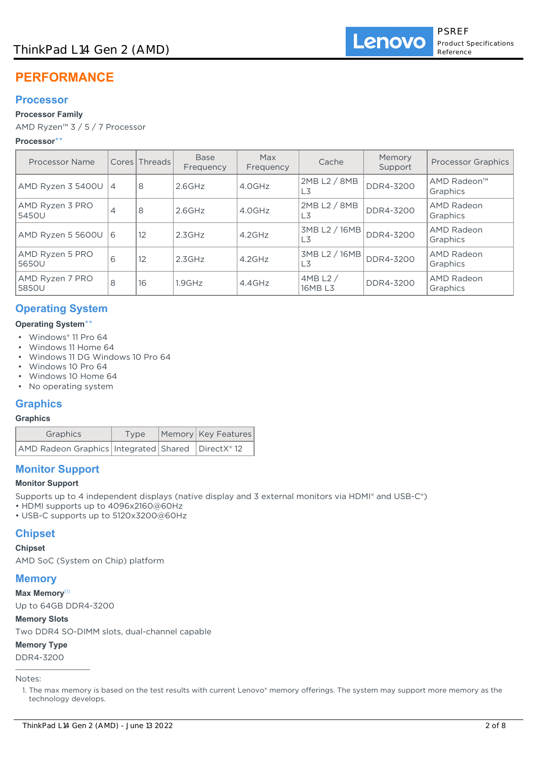# **PERFORMANCE**

# **Processor**

## **Processor Family**

AMD Ryzen™ 3 / 5 / 7 Processor

### **Processor**\*\*

| Processor Name           |   | Cores Threads | <b>Base</b><br>Frequency | Max<br>Frequency | Cache                            | Memory<br>Support | <b>Processor Graphics</b> |
|--------------------------|---|---------------|--------------------------|------------------|----------------------------------|-------------------|---------------------------|
| AMD Ryzen 3 5400U   4    |   | 8             | $2.6$ GHz                | 4.0GHz           | 2MB L2 / 8MB<br>L3               | DDR4-3200         | AMD Radeon™<br>Graphics   |
| AMD Ryzen 3 PRO<br>5450U | 4 | 8             | $2.6$ GHz                | 4.0GHz           | 2MB L2 / 8MB<br>L3               | DDR4-3200         | AMD Radeon<br>Graphics    |
| AMD Ryzen 5 5600U 6      |   | 12            | 2.3GHz                   | $4.2$ GHz        | 3MB L2 / 16MB<br>DDR4-3200<br>L3 |                   | AMD Radeon<br>Graphics    |
| AMD Ryzen 5 PRO<br>5650U | 6 | 12            | 2.3GHz                   | $4.2$ GHz        | 3MB L2 / 16MB<br>L3              | DDR4-3200         | AMD Radeon<br>Graphics    |
| AMD Ryzen 7 PRO<br>5850U | 8 | 16            | 1.9GHz                   | $4.4$ GHz        | 4MBL2/<br>16MB L3                | DDR4-3200         | AMD Radeon<br>Graphics    |

# **Operating System**

### **Operating System**\*\*

- Windows® 11 Pro 64
- Windows 11 Home 64
- Windows 11 DG Windows 10 Pro 64
- Windows 10 Pro 64
- Windows 10 Home 64
- No operating system

# **Graphics**

### **Graphics**

| Graphics                                                | Type | Memory Key Features |  |
|---------------------------------------------------------|------|---------------------|--|
| AMD Radeon Graphics   Integrated   Shared   DirectX® 12 |      |                     |  |

# **Monitor Support**

### **Monitor Support**

Supports up to 4 independent displays (native display and 3 external monitors via HDMI® and USB-C®)

- HDMI supports up to 4096x2160@60Hz
- USB-C supports up to 5120x3200@60Hz

# **Chipset**

## **Chipset**

AMD SoC (System on Chip) platform

# **Memory**

**Max Memory**[1]

Up to 64GB DDR4-3200

#### **Memory Slots**

Two DDR4 SO-DIMM slots, dual-channel capable

### **Memory Type**

DDR4-3200

Notes:

<sup>1.</sup> The max memory is based on the test results with current Lenovo® memory offerings. The system may support more memory as the technology develops.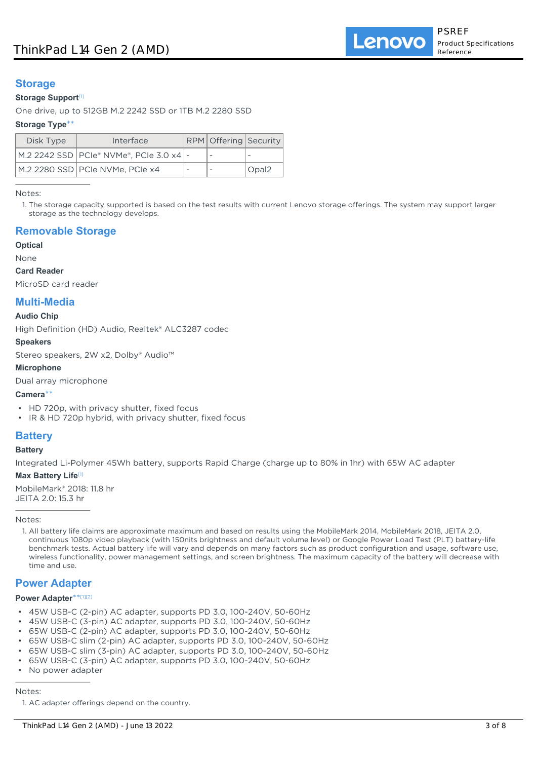# **Storage**

#### **Storage Support**[1]

One drive, up to 512GB M.2 2242 SSD or 1TB M.2 2280 SSD

#### **Storage Type**\*\*

| Disk Type | Interface                                   |                          | <b>RPM</b> Offering Security |       |
|-----------|---------------------------------------------|--------------------------|------------------------------|-------|
|           | M.2 2242 SSD   PCIe® NVMe®, PCIe 3.0 x4   - |                          | $\overline{\phantom{a}}$     |       |
|           | M.2 2280 SSD PCIe NVMe, PCIe x4             | $\overline{\phantom{a}}$ | $\overline{\phantom{a}}$     | Opal2 |

Notes:

1. The storage capacity supported is based on the test results with current Lenovo storage offerings. The system may support larger storage as the technology develops.

# **Removable Storage**

#### **Optical**

None

**Card Reader**

MicroSD card reader

# **Multi-Media**

## **Audio Chip**

High Definition (HD) Audio, Realtek® ALC3287 codec

#### **Speakers**

Stereo speakers, 2W x2, Dolby® Audio™

#### **Microphone**

Dual array microphone

#### **Camera**\*\*

- HD 720p, with privacy shutter, fixed focus
- IR & HD 720p hybrid, with privacy shutter, fixed focus

# **Battery**

#### **Battery**

Integrated Li-Polymer 45Wh battery, supports Rapid Charge (charge up to 80% in 1hr) with 65W AC adapter

#### **Max Battery Life**[1]

MobileMark® 2018: 11.8 hr JEITA 2.0: 15.3 hr

Notes:

1. All battery life claims are approximate maximum and based on results using the MobileMark 2014, MobileMark 2018, JEITA 2.0, continuous 1080p video playback (with 150nits brightness and default volume level) or Google Power Load Test (PLT) battery-life benchmark tests. Actual battery life will vary and depends on many factors such as product configuration and usage, software use, wireless functionality, power management settings, and screen brightness. The maximum capacity of the battery will decrease with time and use.

### **Power Adapter**

#### **Power Adapter**\*\* [1][2]

- 45W USB-C (2-pin) AC adapter, supports PD 3.0, 100-240V, 50-60Hz
- 45W USB-C (3-pin) AC adapter, supports PD 3.0, 100-240V, 50-60Hz
- 65W USB-C (2-pin) AC adapter, supports PD 3.0, 100-240V, 50-60Hz
- 65W USB-C slim (2-pin) AC adapter, supports PD 3.0, 100-240V, 50-60Hz
- 65W USB-C slim (3-pin) AC adapter, supports PD 3.0, 100-240V, 50-60Hz
- 65W USB-C (3-pin) AC adapter, supports PD 3.0, 100-240V, 50-60Hz
- No power adapter

Notes:

1. AC adapter offerings depend on the country.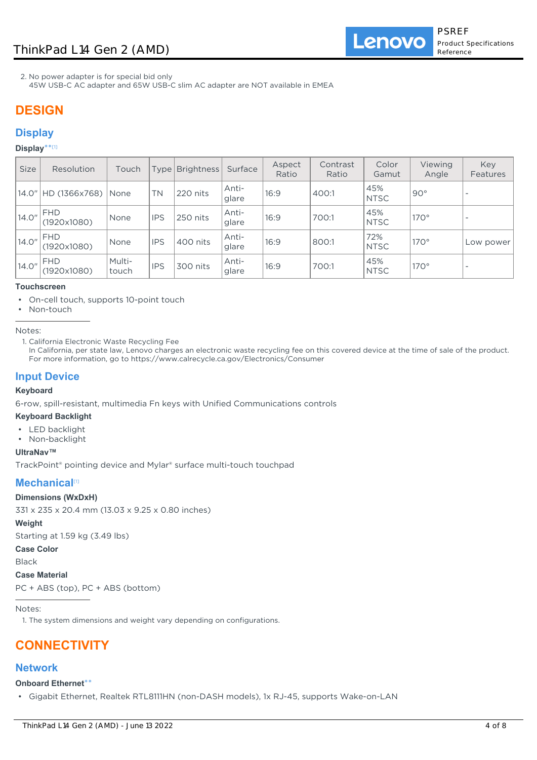Lenovo

2. No power adapter is for special bid only

45W USB-C AC adapter and 65W USB-C slim AC adapter are NOT available in EMEA

# **DESIGN**

# **Display**

#### **Display**\*\* [1]

| <b>Size</b> | Resolution                | Touch           | Typel      | Brightness | Surface        | Aspect<br>Ratio | Contrast<br>Ratio | Color<br>Gamut     | Viewing<br>Angle | Key<br><b>Features</b>   |
|-------------|---------------------------|-----------------|------------|------------|----------------|-----------------|-------------------|--------------------|------------------|--------------------------|
| 14.0″       | HD (1366x768)             | <i>None</i>     | <b>TN</b>  | 220 nits   | Anti-<br>glare | 16:9            | 400:1             | 45%<br><b>NTSC</b> | $90^\circ$       |                          |
| 14.0"       | <b>FHD</b><br>(1920x1080) | None            | <b>IPS</b> | 250 nits   | Anti-<br>glare | 16:9            | 700:1             | 45%<br><b>NTSC</b> | $170^\circ$      | $\overline{\phantom{a}}$ |
| 14.0"       | <b>FHD</b><br>(1920x1080) | <b>None</b>     | <b>IPS</b> | 400 nits   | Anti-<br>glare | 16:9            | 800:1             | 72%<br><b>NTSC</b> | $170^\circ$      | Low power                |
| 14.0"       | <b>FHD</b><br>(1920x1080) | Multi-<br>touch | <b>IPS</b> | 300 nits   | Anti-<br>glare | 16:9            | 700:1             | 45%<br><b>NTSC</b> | $170^\circ$      |                          |

## **Touchscreen**

• On-cell touch, supports 10-point touch

Non-touch

Notes:

1. California Electronic Waste Recycling Fee

In California, per state law, Lenovo charges an electronic waste recycling fee on this covered device at the time of sale of the product. For more information, go to https://www.calrecycle.ca.gov/Electronics/Consumer

## **Input Device**

#### **Keyboard**

6-row, spill-resistant, multimedia Fn keys with Unified Communications controls

#### **Keyboard Backlight**

- LED backlight
- Non-backlight

#### **UltraNav™**

TrackPoint® pointing device and Mylar® surface multi-touch touchpad

# **Mechanical**[1]

#### **Dimensions (WxDxH)**

331 x 235 x 20.4 mm (13.03 x 9.25 x 0.80 inches)

#### **Weight**

Starting at 1.59 kg (3.49 lbs)

## **Case Color**

Black

#### **Case Material**

PC + ABS (top), PC + ABS (bottom)

Notes:

1. The system dimensions and weight vary depending on configurations.

# **CONNECTIVITY**

## **Network**

#### **Onboard Ethernet**\*\*

• Gigabit Ethernet, Realtek RTL8111HN (non-DASH models), 1x RJ-45, supports Wake-on-LAN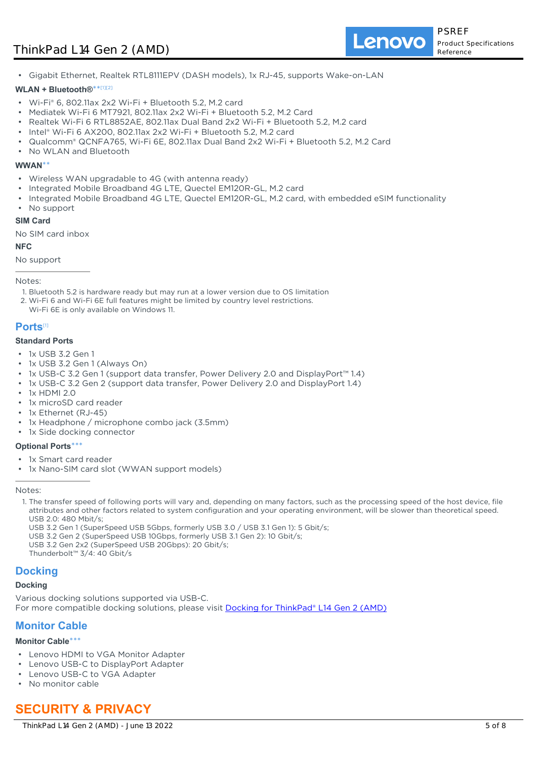Lenovo

• Gigabit Ethernet, Realtek RTL8111EPV (DASH models), 1x RJ-45, supports Wake-on-LAN

#### **WLAN + Bluetooth®**\*\* [1][2]

- Wi-Fi® 6, 802.11ax 2x2 Wi-Fi + Bluetooth 5.2, M.2 card
- Mediatek Wi-Fi 6 MT7921, 802.11ax 2x2 Wi-Fi + Bluetooth 5.2, M.2 Card
- Realtek Wi-Fi 6 RTL8852AE, 802.11ax Dual Band 2x2 Wi-Fi + Bluetooth 5.2, M.2 card
- Intel® Wi-Fi 6 AX200, 802.11ax 2x2 Wi-Fi + Bluetooth 5.2, M.2 card
- Qualcomm® QCNFA765, Wi-Fi 6E, 802.11ax Dual Band 2x2 Wi-Fi + Bluetooth 5.2, M.2 Card
- No WLAN and Bluetooth

#### **WWAN**\*\*

- Wireless WAN upgradable to 4G (with antenna ready)
- Integrated Mobile Broadband 4G LTE, Quectel EM120R-GL, M.2 card
- Integrated Mobile Broadband 4G LTE, Quectel EM120R-GL, M.2 card, with embedded eSIM functionality
- No support

#### **SIM Card**

No SIM card inbox

#### **NFC**

No support

#### Notes:

1. Bluetooth 5.2 is hardware ready but may run at a lower version due to OS limitation

- 2. Wi-Fi 6 and Wi-Fi 6E full features might be limited by country level restrictions.
- Wi-Fi 6E is only available on Windows 11.

### **Ports**[1]

#### **Standard Ports**

- 1x USB 3.2 Gen 1
- 1x USB 3.2 Gen 1 (Always On)
- 1x USB-C 3.2 Gen 1 (support data transfer, Power Delivery 2.0 and DisplayPort™ 1.4)
- 1x USB-C 3.2 Gen 2 (support data transfer, Power Delivery 2.0 and DisplayPort 1.4)
- 1x HDMI 2.0
- 1x microSD card reader
- 1x Ethernet (RJ-45)
- 1x Headphone / microphone combo jack (3.5mm)
- 1x Side docking connector

#### **Optional Ports**\*\*\*

- 1x Smart card reader
- 1x Nano-SIM card slot (WWAN support models)

#### Notes:

- 1. The transfer speed of following ports will vary and, depending on many factors, such as the processing speed of the host device, file attributes and other factors related to system configuration and your operating environment, will be slower than theoretical speed. USB 2.0: 480 Mbit/s;
	- USB 3.2 Gen 1 (SuperSpeed USB 5Gbps, formerly USB 3.0 / USB 3.1 Gen 1): 5 Gbit/s;

USB 3.2 Gen 2 (SuperSpeed USB 10Gbps, formerly USB 3.1 Gen 2): 10 Gbit/s;

USB 3.2 Gen 2x2 (SuperSpeed USB 20Gbps): 20 Gbit/s;

Thunderbolt™ 3/4: 40 Gbit/s

### **Docking**

#### **Docking**

Various docking solutions supported via USB-C. For more compatible docking solutions, please visit [Docking for ThinkPad® L14 Gen 2 \(AMD\)](https://smartfind.lenovo.com/accessories/#/search?categoryL1Name=Docking&categoryL2Names&pageIndex=1&pageSize=40&query=20X5)

# **Monitor Cable**

#### **Monitor Cable**\*\*\*

- Lenovo HDMI to VGA Monitor Adapter
- Lenovo USB-C to DisplayPort Adapter
- Lenovo USB-C to VGA Adapter
- No monitor cable

# **SECURITY & PRIVACY**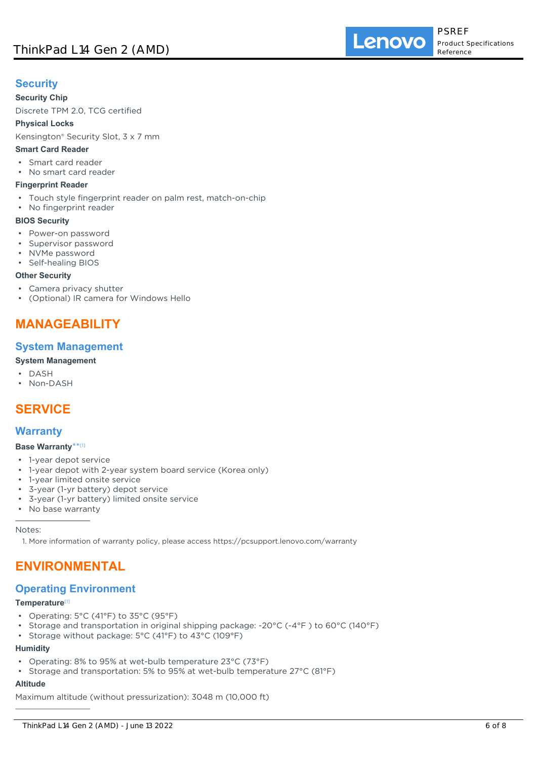# **Security**

## **Security Chip**

Discrete TPM 2.0, TCG certified

**Physical Locks**

Kensington® Security Slot, 3 x 7 mm

### **Smart Card Reader**

- Smart card reader
- No smart card reader

### **Fingerprint Reader**

- Touch style fingerprint reader on palm rest, match-on-chip
- No fingerprint reader

### **BIOS Security**

- Power-on password
- Supervisor password
- NVMe password
- Self-healing BIOS

### **Other Security**

- Camera privacy shutter
- (Optional) IR camera for Windows Hello

# **MANAGEABILITY**

# **System Management**

## **System Management**

- DASH
- Non-DASH

# **SERVICE**

# **Warranty**

## **Base Warranty**\*\* [1]

- 1-year depot service
- 1-year depot with 2-year system board service (Korea only)
- 1-year limited onsite service
- 3-year (1-yr battery) depot service
- 3-year (1-yr battery) limited onsite service
- No base warranty

#### Notes:

1. More information of warranty policy, please access https://pcsupport.lenovo.com/warranty

# **ENVIRONMENTAL**

# **Operating Environment**

#### **Temperature**[1]

- Operating: 5°C (41°F) to 35°C (95°F)
- Storage and transportation in original shipping package: -20°C (-4°F ) to 60°C (140°F)
- Storage without package: 5°C (41°F) to 43°C (109°F)

# **Humidity**

- Operating: 8% to 95% at wet-bulb temperature 23°C (73°F)
- Storage and transportation: 5% to 95% at wet-bulb temperature 27°C (81°F)

# **Altitude**

Maximum altitude (without pressurization): 3048 m (10,000 ft)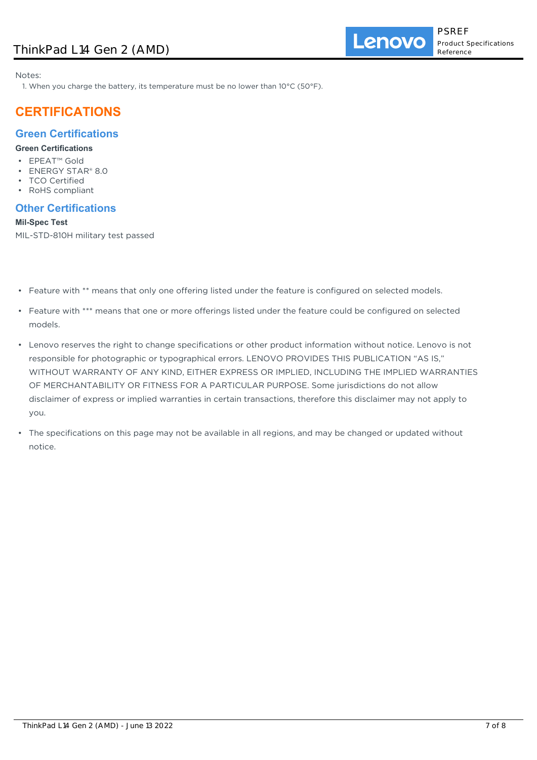Notes:

1. When you charge the battery, its temperature must be no lower than 10°C (50°F).

# **CERTIFICATIONS**

# **Green Certifications**

# **Green Certifications**

- EPEAT™ Gold
- ENERGY STAR® 8.0
- TCO Certified
- RoHS compliant

# **Other Certifications**

### **Mil-Spec Test**

MIL-STD-810H military test passed

- Feature with \*\* means that only one offering listed under the feature is configured on selected models.
- Feature with \*\*\* means that one or more offerings listed under the feature could be configured on selected models.
- Lenovo reserves the right to change specifications or other product information without notice. Lenovo is not responsible for photographic or typographical errors. LENOVO PROVIDES THIS PUBLICATION "AS IS," WITHOUT WARRANTY OF ANY KIND, EITHER EXPRESS OR IMPLIED, INCLUDING THE IMPLIED WARRANTIES OF MERCHANTABILITY OR FITNESS FOR A PARTICULAR PURPOSE. Some jurisdictions do not allow disclaimer of express or implied warranties in certain transactions, therefore this disclaimer may not apply to you.
- The specifications on this page may not be available in all regions, and may be changed or updated without notice.